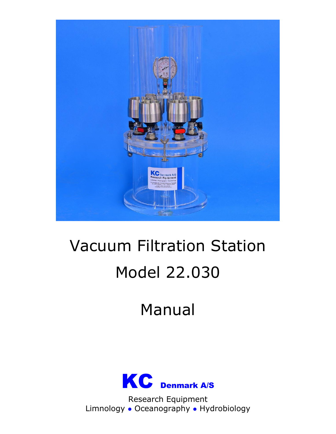

## Vacuum Filtration Station Model 22.030

Manual



Research Equipment Limnology ⚫ Oceanography ⚫ Hydrobiology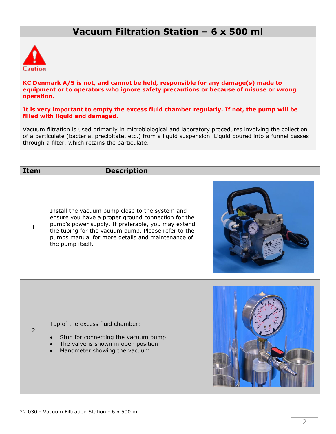## **Vacuum Filtration Station – 6 x 500 ml**



**KC Denmark A/S is not, and cannot be held, responsible for any damage(s) made to equipment or to operators who ignore safety precautions or because of misuse or wrong operation.**

**It is very important to empty the excess fluid chamber regularly. If not, the pump will be filled with liquid and damaged.**

Vacuum filtration is used primarily in microbiological and laboratory procedures involving the collection of a particulate (bacteria, precipitate, etc.) from a liquid suspension. Liquid poured into a funnel passes through a filter, which retains the particulate.

| <b>Item</b>    | <b>Description</b>                                                                                                                                                                                                                                                                         |  |
|----------------|--------------------------------------------------------------------------------------------------------------------------------------------------------------------------------------------------------------------------------------------------------------------------------------------|--|
| $\mathbf{1}$   | Install the vacuum pump close to the system and<br>ensure you have a proper ground connection for the<br>pump's power supply. If preferable, you may extend<br>the tubing for the vacuum pump. Please refer to the<br>pumps manual for more details and maintenance of<br>the pump itself. |  |
| $\overline{2}$ | Top of the excess fluid chamber:<br>Stub for connecting the vacuum pump<br>$\bullet$<br>The valve is shown in open position<br>$\bullet$<br>Manometer showing the vacuum<br>$\bullet$                                                                                                      |  |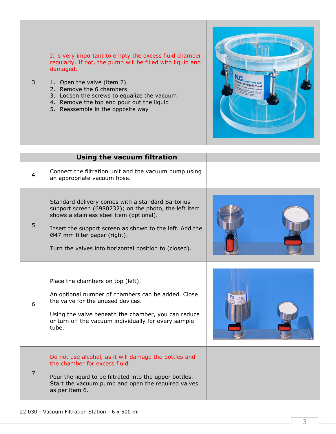## It is very important to empty the excess fluid chamber regularly. If not, the pump will be filled with liquid and damaged.

1. Open the valve (item 2)

3

- 2. Remove the 6 chambers
- 3. Loosen the screws to equalize the vacuum
- 4. Remove the top and pour out the liquid
- 5. Reassemble in the opposite way



|                | <b>Using the vacuum filtration</b>                                                                                                                                                                                                                                                                         |  |
|----------------|------------------------------------------------------------------------------------------------------------------------------------------------------------------------------------------------------------------------------------------------------------------------------------------------------------|--|
| 4              | Connect the filtration unit and the vacuum pump using<br>an appropriate vacuum hose.                                                                                                                                                                                                                       |  |
| 5              | Standard delivery comes with a standard Sartorius<br>support screen (6980232); on the photo, the left item<br>shows a stainless steel item (optional).<br>Insert the support screen as shown to the left. Add the<br>Ø47 mm filter paper (right).<br>Turn the valves into horizontal position to (closed). |  |
| 6              | Place the chambers on top (left).<br>An optional number of chambers can be added. Close<br>the valve for the unused devices.<br>Using the valve beneath the chamber, you can reduce<br>or turn off the vacuum individually for every sample<br>tube.                                                       |  |
| $\overline{7}$ | Do not use alcohol, as it will damage the bottles and<br>the chamber for excess fluid.<br>Pour the liquid to be filtrated into the upper bottles.<br>Start the vacuum pump and open the required valves<br>as per item 6.                                                                                  |  |